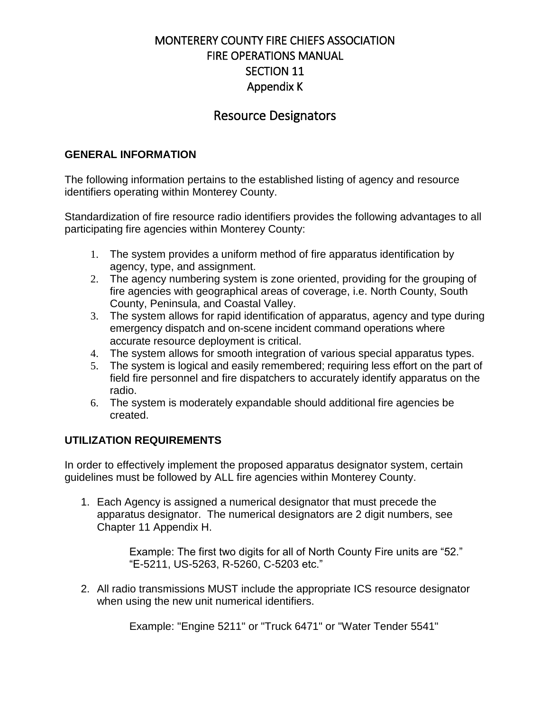# Resource Designators

### **GENERAL INFORMATION**

The following information pertains to the established listing of agency and resource identifiers operating within Monterey County.

Standardization of fire resource radio identifiers provides the following advantages to all participating fire agencies within Monterey County:

- 1. The system provides a uniform method of fire apparatus identification by agency, type, and assignment.
- 2. The agency numbering system is zone oriented, providing for the grouping of fire agencies with geographical areas of coverage, i.e. North County, South County, Peninsula, and Coastal Valley.
- 3. The system allows for rapid identification of apparatus, agency and type during emergency dispatch and on-scene incident command operations where accurate resource deployment is critical.
- 4. The system allows for smooth integration of various special apparatus types.
- 5. The system is logical and easily remembered; requiring less effort on the part of field fire personnel and fire dispatchers to accurately identify apparatus on the radio.
- 6. The system is moderately expandable should additional fire agencies be created.

### **UTILIZATION REQUIREMENTS**

In order to effectively implement the proposed apparatus designator system, certain guidelines must be followed by ALL fire agencies within Monterey County.

1. Each Agency is assigned a numerical designator that must precede the apparatus designator. The numerical designators are 2 digit numbers, see Chapter 11 Appendix H.

> Example: The first two digits for all of North County Fire units are "52." "E-5211, US-5263, R-5260, C-5203 etc."

2. All radio transmissions MUST include the appropriate ICS resource designator when using the new unit numerical identifiers.

Example: "Engine 5211" or "Truck 6471" or "Water Tender 5541"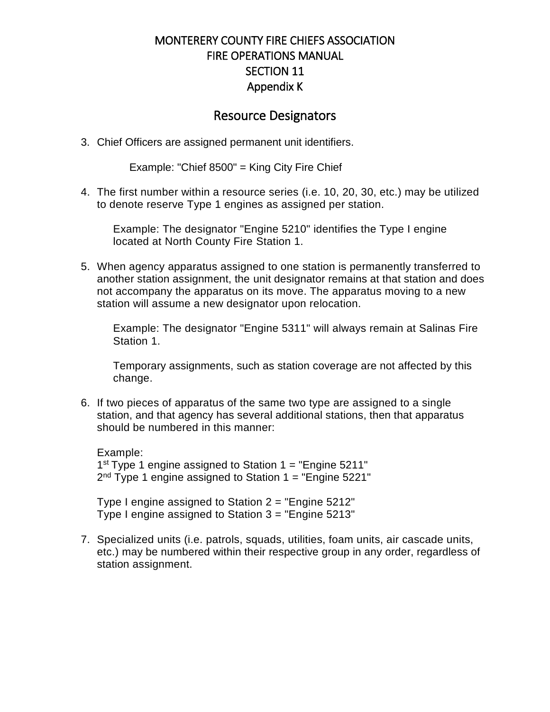### Resource Designators

3. Chief Officers are assigned permanent unit identifiers.

Example: "Chief 8500" = King City Fire Chief

4. The first number within a resource series (i.e. 10, 20, 30, etc.) may be utilized to denote reserve Type 1 engines as assigned per station.

Example: The designator "Engine 5210" identifies the Type I engine located at North County Fire Station 1.

5. When agency apparatus assigned to one station is permanently transferred to another station assignment, the unit designator remains at that station and does not accompany the apparatus on its move. The apparatus moving to a new station will assume a new designator upon relocation.

Example: The designator "Engine 5311" will always remain at Salinas Fire Station 1.

Temporary assignments, such as station coverage are not affected by this change.

6. If two pieces of apparatus of the same two type are assigned to a single station, and that agency has several additional stations, then that apparatus should be numbered in this manner:

Example: 1<sup>st</sup> Type 1 engine assigned to Station 1 = "Engine 5211" 2<sup>nd</sup> Type 1 engine assigned to Station 1 = "Engine 5221"

Type I engine assigned to Station  $2 =$  "Engine 5212" Type I engine assigned to Station 3 = "Engine 5213"

7. Specialized units (i.e. patrols, squads, utilities, foam units, air cascade units, etc.) may be numbered within their respective group in any order, regardless of station assignment.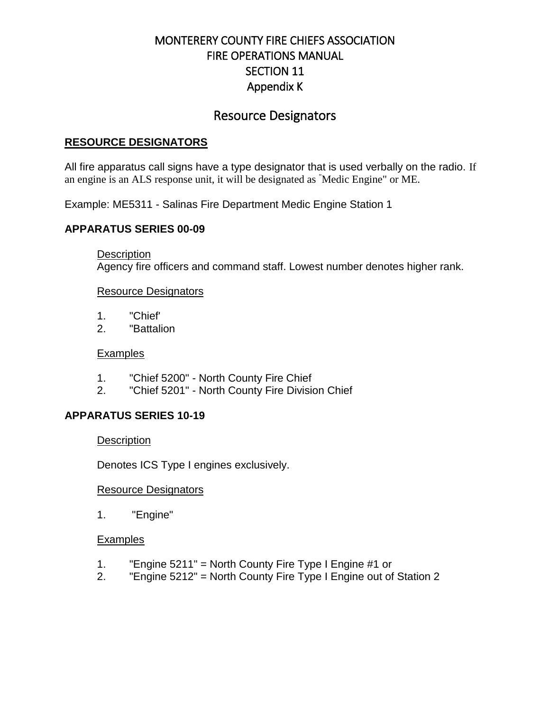# Resource Designators

### **RESOURCE DESIGNATORS**

All fire apparatus call signs have a type designator that is used verbally on the radio. If an engine is an ALS response unit, it will be designated as "Medic Engine" or ME.

Example: ME5311 - Salinas Fire Department Medic Engine Station 1

### **APPARATUS SERIES 00-09**

**Description** 

Agency fire officers and command staff. Lowest number denotes higher rank.

### Resource Designators

- 1. "Chief'
- 2. "Battalion

### **Examples**

- 1. "Chief 5200" North County Fire Chief
- 2. "Chief 5201" North County Fire Division Chief

### **APPARATUS SERIES 10-19**

### **Description**

Denotes ICS Type I engines exclusively.

### Resource Designators

1. "Engine"

### **Examples**

- 1. "Engine 5211" = North County Fire Type I Engine #1 or
- 2. "Engine 5212" = North County Fire Type I Engine out of Station 2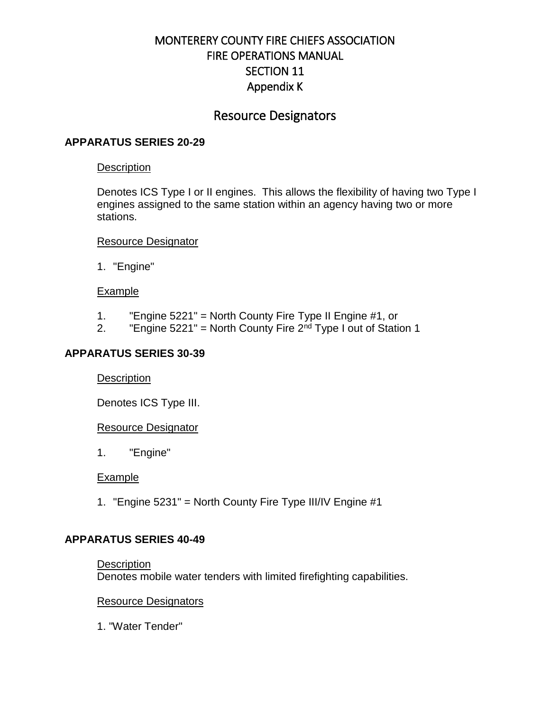# Resource Designators

### **APPARATUS SERIES 20-29**

#### **Description**

Denotes ICS Type I or II engines. This allows the flexibility of having two Type I engines assigned to the same station within an agency having two or more stations.

#### Resource Designator

1. "Engine"

### **Example**

- 1. "Engine 5221" = North County Fire Type II Engine #1, or
- 2. "Engine 5221" = North County Fire  $2<sup>nd</sup>$  Type I out of Station 1

### **APPARATUS SERIES 30-39**

### **Description**

Denotes ICS Type III.

### Resource Designator

1. "Engine"

### Example

1. "Engine 5231" = North County Fire Type III/IV Engine #1

### **APPARATUS SERIES 40-49**

### **Description** Denotes mobile water tenders with limited firefighting capabilities.

### Resource Designators

1. "Water Tender"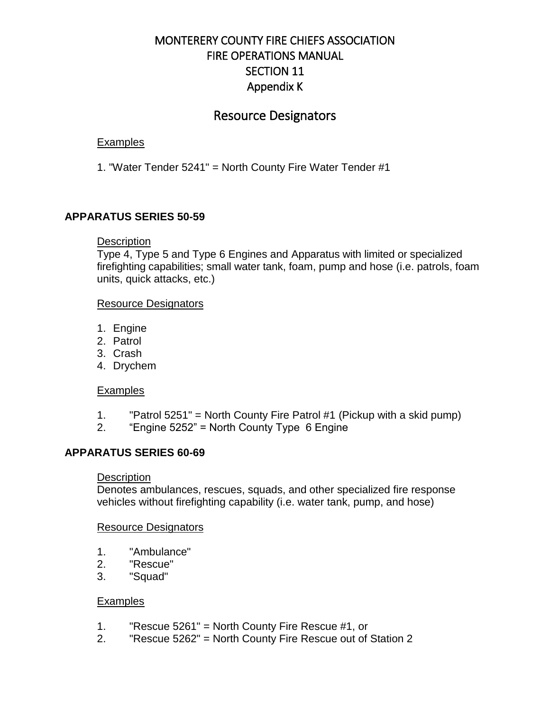# Resource Designators

### **Examples**

1. "Water Tender 5241" = North County Fire Water Tender #1

### **APPARATUS SERIES 50-59**

### **Description**

Type 4, Type 5 and Type 6 Engines and Apparatus with limited or specialized firefighting capabilities; small water tank, foam, pump and hose (i.e. patrols, foam units, quick attacks, etc.)

#### Resource Designators

- 1. Engine
- 2. Patrol
- 3. Crash
- 4. Drychem

### **Examples**

- 1. "Patrol 5251" = North County Fire Patrol #1 (Pickup with a skid pump)
- 2. "Engine 5252" = North County Type 6 Engine

### **APPARATUS SERIES 60-69**

### **Description**

Denotes ambulances, rescues, squads, and other specialized fire response vehicles without firefighting capability (i.e. water tank, pump, and hose)

#### Resource Designators

- 1. "Ambulance"
- 2. "Rescue"
- 3. "Squad"

### **Examples**

- 1. "Rescue 5261" = North County Fire Rescue #1, or
- 2. "Rescue 5262" = North County Fire Rescue out of Station 2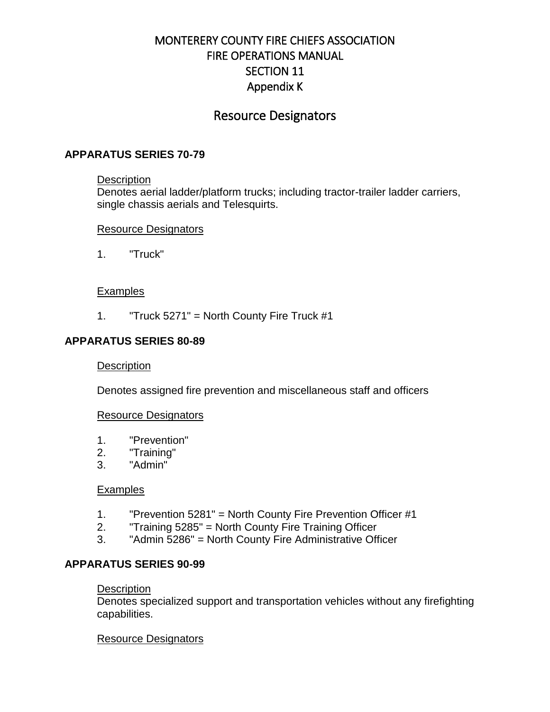# Resource Designators

### **APPARATUS SERIES 70-79**

#### **Description**

Denotes aerial ladder/platform trucks; including tractor-trailer ladder carriers, single chassis aerials and Telesquirts.

### Resource Designators

1. "Truck"

### **Examples**

1. "Truck 5271" = North County Fire Truck #1

### **APPARATUS SERIES 80-89**

### **Description**

Denotes assigned fire prevention and miscellaneous staff and officers

### Resource Designators

- 1. "Prevention"
- 2. "Training"
- 3. "Admin"

#### **Examples**

- 1. "Prevention 5281" = North County Fire Prevention Officer #1
- 2. "Training 5285" = North County Fire Training Officer
- 3. "Admin 5286" = North County Fire Administrative Officer

### **APPARATUS SERIES 90-99**

#### **Description**

Denotes specialized support and transportation vehicles without any firefighting capabilities.

### Resource Designators